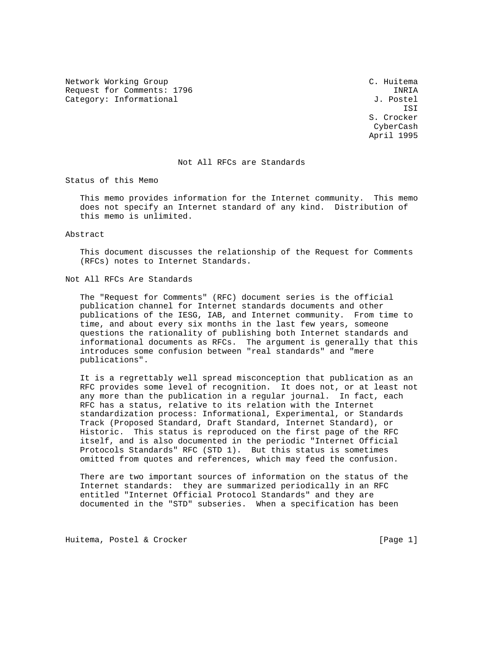Network Working Group C. Huitema Request for Comments: 1796 INRIA Category: Informational  $J.$  Postel

 ISI S. Crocker CyberCash April 1995

## Not All RFCs are Standards

Status of this Memo

 This memo provides information for the Internet community. This memo does not specify an Internet standard of any kind. Distribution of this memo is unlimited.

Abstract

 This document discusses the relationship of the Request for Comments (RFCs) notes to Internet Standards.

Not All RFCs Are Standards

 The "Request for Comments" (RFC) document series is the official publication channel for Internet standards documents and other publications of the IESG, IAB, and Internet community. From time to time, and about every six months in the last few years, someone questions the rationality of publishing both Internet standards and informational documents as RFCs. The argument is generally that this introduces some confusion between "real standards" and "mere publications".

 It is a regrettably well spread misconception that publication as an RFC provides some level of recognition. It does not, or at least not any more than the publication in a regular journal. In fact, each RFC has a status, relative to its relation with the Internet standardization process: Informational, Experimental, or Standards Track (Proposed Standard, Draft Standard, Internet Standard), or Historic. This status is reproduced on the first page of the RFC itself, and is also documented in the periodic "Internet Official Protocols Standards" RFC (STD 1). But this status is sometimes omitted from quotes and references, which may feed the confusion.

 There are two important sources of information on the status of the Internet standards: they are summarized periodically in an RFC entitled "Internet Official Protocol Standards" and they are documented in the "STD" subseries. When a specification has been

Huitema, Postel & Crocker [Page 1]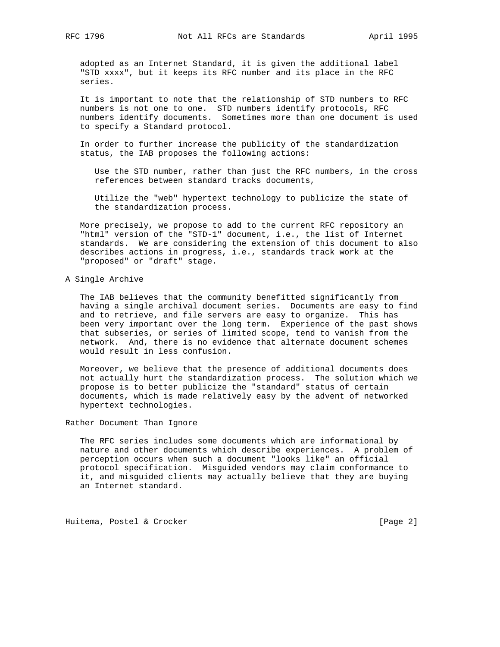adopted as an Internet Standard, it is given the additional label "STD xxxx", but it keeps its RFC number and its place in the RFC series.

 It is important to note that the relationship of STD numbers to RFC numbers is not one to one. STD numbers identify protocols, RFC numbers identify documents. Sometimes more than one document is used to specify a Standard protocol.

 In order to further increase the publicity of the standardization status, the IAB proposes the following actions:

 Use the STD number, rather than just the RFC numbers, in the cross references between standard tracks documents,

 Utilize the "web" hypertext technology to publicize the state of the standardization process.

 More precisely, we propose to add to the current RFC repository an "html" version of the "STD-1" document, i.e., the list of Internet standards. We are considering the extension of this document to also describes actions in progress, i.e., standards track work at the "proposed" or "draft" stage.

## A Single Archive

 The IAB believes that the community benefitted significantly from having a single archival document series. Documents are easy to find and to retrieve, and file servers are easy to organize. This has been very important over the long term. Experience of the past shows that subseries, or series of limited scope, tend to vanish from the network. And, there is no evidence that alternate document schemes would result in less confusion.

 Moreover, we believe that the presence of additional documents does not actually hurt the standardization process. The solution which we propose is to better publicize the "standard" status of certain documents, which is made relatively easy by the advent of networked hypertext technologies.

Rather Document Than Ignore

 The RFC series includes some documents which are informational by nature and other documents which describe experiences. A problem of perception occurs when such a document "looks like" an official protocol specification. Misguided vendors may claim conformance to it, and misguided clients may actually believe that they are buying an Internet standard.

Huitema, Postel & Crocker [Page 2]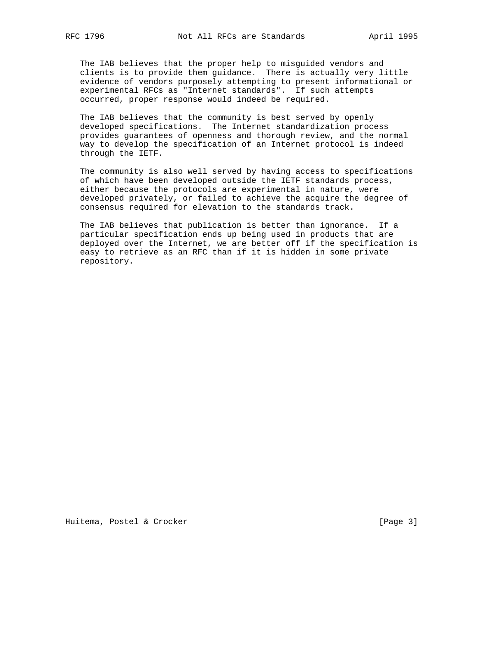The IAB believes that the proper help to misguided vendors and clients is to provide them guidance. There is actually very little evidence of vendors purposely attempting to present informational or experimental RFCs as "Internet standards". If such attempts occurred, proper response would indeed be required.

 The IAB believes that the community is best served by openly developed specifications. The Internet standardization process provides guarantees of openness and thorough review, and the normal way to develop the specification of an Internet protocol is indeed through the IETF.

 The community is also well served by having access to specifications of which have been developed outside the IETF standards process, either because the protocols are experimental in nature, were developed privately, or failed to achieve the acquire the degree of consensus required for elevation to the standards track.

 The IAB believes that publication is better than ignorance. If a particular specification ends up being used in products that are deployed over the Internet, we are better off if the specification is easy to retrieve as an RFC than if it is hidden in some private repository.